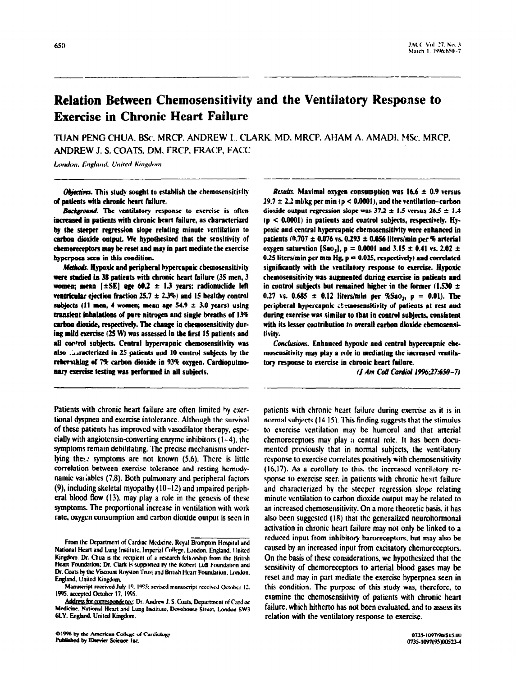# **Relation Between Chemosensitivity and the Ventilatory Response to Exercise in Chronic Heart Failure**

TUAN PENG CHUA, BSc, MRCP, ANDREW L. CLARK, MD, MRCP, AHAM A. AMADI, MSc, MRCP, ANDREW J. S. COATS, DM, FRCP, FRACP, FACC

London, England, United Kingdom

Objectives. This study sought to establish the chemosensitivity of patients with chronic heart failure.

Background. The ventilatory response to exercise is often increased in patients with chronic heart failure, as characterized by the steeper regression slope relating minute ventilation to carbon dioxide output. We hypothesized that the sensitivity of chemoreceptors may be reset and may in part mediate the exercise hyperpnea seen in this condition.

Methods. Hypoxic and peripheral bypercapnic chemosensitivity were studied in 38 patients with chronic heart failure (35 men, 3 women; mean  $[\pm SE]$  age 60.2  $\pm$  1.3 years; radionuclide left ventricular ejection fraction 25.7  $\pm$  2.3%) and 15 healthy control subjects (11 men, 4 women; mean age  $54.9 \pm 3.0$  years) using transient inhalations of pure nitrogen and single breaths of 13% carbon dioxide, respectively. The change in chemosensitivity during mild exercise (25 W) was assessed in the first 15 patients and all control subjects. Central hypercapnic chemosensitivity was also ... racterized in 25 patients and 10 control subjects by the rebreathing of 7% carbon dioxide in 93% oxygen. Cardiopulmonary exercise testing was performed in all subjects.

Patients with chronic heart failure are often limited by exertional dyspnea and exercise intolerance. Although the survival of these patients has improved with vasodilator therapy, especially with angiotensin-converting enzyme inhibitors  $(1-4)$ , the symptoms remain debilitating. The precise mechanisms underlying these symptoms are not known (5,6). There is little correlation between exercise tolerance and resting hemodynamic variables (7,8). Both pulmonary and peripheral factors  $(9)$ , including skeletal myopathy  $(10-12)$  and impaired peripheral blood flow (13), may play a role in the genesis of these symptoms. The proportional increase in ventilation with work rate, oxygen consumption and carbon dioxide output is seen in

*Results.* Maximal oxygen consumption was  $16.6 \pm 0.9$  versus  $29.7 \pm 2.2$  ml/kg per min (p < 0.0001), and the ventilation-carbon dioxide output regression slope was  $37.2 \pm 1.5$  versus 26.5  $\pm$  1.4  $(p < 0.0001)$  in patients and control subjects, respectively. Hypoxic and central hypercapnic chemosensitivity were enhanced in patients  $(0.707 \pm 0.076 \text{ vs. } 0.293 \pm 0.056 \text{ liters/min per } \% \text{ arterial}$ oxygen saturation [Sao<sub>2</sub>],  $p = 0.0001$  and 3.15  $\pm$  0.41 vs. 2.02  $\pm$ 0.25 liters/min per mm  $Hg$ ,  $p = 0.025$ , respectively) and correlated significantly with the ventilatory response to exercise. Hypoxic chemosensitivity was augmented during exercise in patients and in control subjects but remained higher in the former (1.530  $\pm$ 0.27 vs. 0.685  $\pm$  0.12 liters/min per %Sao<sub>2</sub>, p = 0.01). The peripheral hypercapnic chemosensitivity of patients at rest and during exercise was similar to that in control subjects, consistent with its lesser contribution to overall carbon dioxide chemosensitivity.

Conclusions. Enhanced hypoxic and central hypercapnic chemosensitivity may play a role in mediating the increased ventilatory response to exercise in chronic heart failure.

(J Am Coll Cardiol 1996;27:650-7)

patients with chronic heart failure during exercise as it is in normal subjects (14 15). This finding suggests that the stimulus to exercise ventilation may be humoral and that arterial chemoreceptors may play a central role. It has been documented previously that in normal subjects, the ventilatory response to exercise correlates positively with chemosensitivity (16,17). As a corollary to this, the increased ventilatory response to exercise seen in patients with chronic heart failure and characterized by the steeper regression slope relating minute ventilation to carbon dioxide output may be related to an increased chemosensitivity. On a more theoretic basis, it has also been suggested (18) that the generalized neurohormonal activation in chronic heart failure may not only be linked to a reduced input from inhibitory baroreceptors, but may also be caused by an increased input from excitatory chemoreceptors. On the basis of these considerations, we hypothesized that the sensitivity of chemoreceptors to arterial blood gases may be reset and may in part mediate the exercise hyperpnea seen in this condition. The purpose of this study was, therefore, to examine the chemosensitivity of patients with chronic heart failure, which hitherto has not been evaluated, and to assess its relation with the ventilatory response to exercise.

From the Department of Cardiac Medicine, Royal Brompton Hospital and National Heart and Lung Institute, Imperial College, London, England, United Kingdom. Dr. Chua is the recipient of a research fellowship from the British Heart Foundation; Dr. Clark is supported by the Robert Luff Foundation and Dr. Coats by the Viscount Royston Trust and British Heart Foundation, London. England, United Kingdom.

Manuscript received July 19, 1995; revised manuscript received October 12. 1995, accepted October 17, 1995.

Address for correspondence: Dr. Andrew J. S. Coats, Department of Cardiac Medicine, National Heart and Lung Institute, Dovehouse Street, London SW3 61.Y, England, United Kingdom.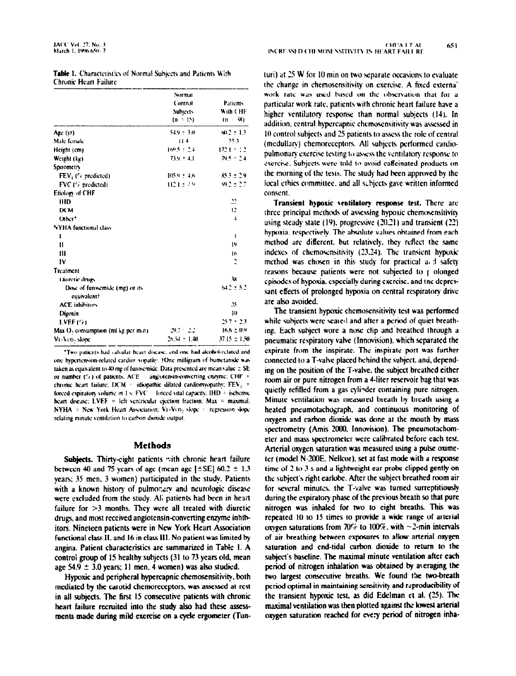| <b>Table 1.</b> Characteristics of Normal Subjects and Patients With |  |
|----------------------------------------------------------------------|--|
| Chronic Heart Failure                                                |  |

|                                               | Normal<br>Control             | <b>Patients</b><br>With CHE<br>$(n \times 38)$ |
|-----------------------------------------------|-------------------------------|------------------------------------------------|
|                                               | <b>Subjects</b><br>$(n - 15)$ |                                                |
|                                               |                               |                                                |
| Age (yr)                                      | 54.9 = 3.0                    | 60.2 ± 1.3.                                    |
| Male-female                                   | 11.4                          | 35.3                                           |
| Height (cm)                                   | $169.5 \pm 2.4$               | 1721 + 1.2                                     |
| Weight (kg)                                   | $73.9 \pm 4.1$                | 79.5 + 2.4                                     |
| Spirometry                                    |                               |                                                |
| $FEV1$ (% predicted)                          | $105.9 + 16$                  | $85.3 \pm 2.9$                                 |
| FVC (17 predicted)                            | $112.1 \pm 2.9$               | $89.2 \pm 2.7$                                 |
| Etiology of CHF                               |                               |                                                |
| <b>IHD</b>                                    |                               | 22                                             |
| DCM                                           |                               | 12                                             |
| Other'                                        |                               | $\overline{1}$                                 |
| <b>NYHA</b> functional class                  |                               |                                                |
| I                                             |                               | п                                              |
| $\mathbf{u}$                                  |                               | 19                                             |
| Ш                                             |                               | I٨                                             |
| IV                                            |                               | 2                                              |
| Treatment                                     |                               |                                                |
| Diuretic drugs                                |                               | 3X                                             |
| Dose of furosemide (mg) or its<br>cquivalent† |                               | $64.2 \pm 5.2$                                 |
| <b>ACE</b> inhibitory                         |                               | 25                                             |
| Digoxin                                       |                               | ю                                              |
| LVEF (7)                                      |                               | 25.7 + 2.3                                     |
| Max Os consumption (ml kg per min)            | 29.7 - 2.2                    | $16.6 \pm 0.9$                                 |
| Vt-Veo-slone                                  | 26.54 ± 1.40                  | 37.15 ± 1.51                                   |

"Two patients had valvular heart disease, and one had alcohol-related and one hypertension-related cardior vopathy. (One milligram of burnetanide was taken as equivalent to 40 mg of furosemide. Data presented are mean value  $\pm$  SE or number  $(7)$  of patients. ACE angiotensin-converting enzyme: CHF = chronic heart failure; DCM = idiopathic dilated cardiomyopathy;  $FEV_1$  = forced expiratory volume in 1 s: FVC = forced vital capacity: IHD = ischemic heart disease; LVEF = left ventricular ejection fraction;  $Max = maximal$ ; NYHA = New York Heart Association; VF-VCO<sub>2</sub> slope = regression slope relating minute ventilation to carbon dioxide output.

#### Methods

Subjects. Thirty-eight patients with chronic heart failure between 40 and 75 years of age (mean age  $[\pm S E] 60.2 \pm 1.3$ years: 35 men. 3 women) participated in the study. Patients with a known history of pulmonary and neurologic disease were excluded from the study. All patients had been in heart failure for  $>3$  months. They were all treated with diuretic drugs, and most received angiotensin-converting enzyme inhibitors. Nineteen patients were in New York Heart Association functional class II. and 16 in class III. No patient was limited by angina. Patient characteristics are summarized in Table I. A control group of 15 healthy subjects (31 10 73 years old, mean age 54.9  $\pm$  3.0 years; 11 men. 4 women) was also studied.

Hypoxic and peripheral hypercapnic chemosensitivity, both mediated by the carotid chemoreceptors. was assessed at rest in all subjects. The first I5 consecutive patients with chronic heart failure recruited into the study also had these assessmerits made during mild exercise on a cycle ergometer (Tunturi) at 25 W for 10 min on two separate occasions to evaluate the change in chemosensitivity on exercise. A fixed externa' work rate was used based on the observation that for a particular work rate, patients with chronic heart failure have a higher ventilatory response than normal subjects (14). In addition, central hypercapnic chemosensitivity was assessed in IO control subjects and 3 patients to assess the role of central (medullarv) chemoreceptors. All subjects performed cardiopulmonary exercise testing to assess the ventilatory response to exercise. Subjects were told to avoid caffeinated products on the morning of the tests. The study had been approved by the local ethics committee, and all subjects gave written informed consent.

Transient hypoxic ventilatory response test. There are three principal methods of assessing hypoxic chemosensitivity using steady state  $(19)$ , progressive  $(20.21)$  and transient  $(22)$ hypoxia. respectively. The absolute values obtained from each method arc different. hut relatively. fhey reflect the same indexes of chemosensitivity (23.24). The transient hypoxic method was chosen in this study for practical a d safety reasons because patients were not subjected to p olonged episodes of hypoxia. cspeciallv during exercise. and Ine depressant effects of prolonged hypoxia on central respiratory drive are also avoided.

The transient hypoxic chemosensitivity tesr was performed while subjects were seared and after a period of quiet breathing. Each subject wore a nose clip and.breathcd through a pneumatic respiratory valve (Innovision). which separated the expirate from the inspirate. The inspirate port was further connected 10 a T-valve placed behind the subject. and, depending on the position of the T-valve. the subject breathed either room air or pure nitrogen from a 4-liter reservoir bag that was quietly refilled from a gas cylinder containing pure nitrogen. Minute ventilation was measured breath by breath using a heated pneumotachograph. and continuous monitoring of oxygen and carbon dioxide was done at the mouth by mass spectrometry (Amis 2000, Innovision). The pneumotachometer and mass spectrometer were calibrated before each test. Arterial oxygen saturation was measured using a pulse oximeter (model N-200E, Nelkor), set at fast mode with a response time of 2 to 3 s and a lightweight ear probe clipped gently on the subject's right earlobe. After the subject breathed room air for several minutss. the T-valve was turned surreptitiously during the expiratory phase of the previous breath so that pure nitrogen was inhaled for two to eight breaths. This was repeated IO lo I5 times to provide a wide range of arterial oxygen saturations from 70% to  $100\%$ , with  $\sim$ 2-min intervals of air breathing between exposures to allow arterial oxygen saturation and end-tidal carbon dioxide to return to the subject's baseline. The maximal minute ventilation after each period of nitrogen inhalation was obtained by averaging the two largest consecutive breaths. We found the two-breath period optimal in maintaining sensitivity and reproducibility of the transient hypoxic test, as did Edelman et al. (25). The maximal ventilation was then plotted against the lowest arterial oxygen saturation reached for every period of nitrogen inha-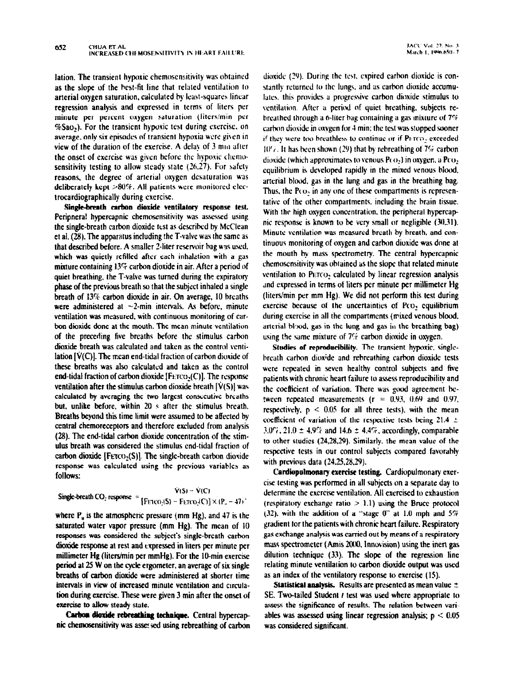lation. The transient hypoxic chemoscnsitivity was ohtaincd as the slope of the best-fit line that related ventilation IO arterial oxygen saturation, calculated by least-squares linear regression analysis and expressed in terms of liters per minute per percent oxygen saturation (liters/min per BSao,). For the transient hypoxic test during cxercisc. on average, only six episodes of transient hypoxia were given in view of the duration of the exercise. A delay of 3 mm after the onset of exercise was given before the hypoxic chemosensitivity testing to allow steady state (26,27). For safety reasons, the degree of arterial oxygen desaturation was deliberately kept  $>80\%$ . All patients were monitored electrocardiographically during exercise.

Single-breath carbon dioxide ventilatory response test. Peripnera! hypercapnic chemosensitivity was assessed using the single-breath carbon dioxide test as described by McClean et al, (28). The apparatus includingthe T-valve was the same as that described before. A smaller 2-liter reservoir hag was used. which was quietly refilled after each inhalation with a gas mixture containing  $13\%$  carbon dioxide in air. After a period of quiet breathing, the T-valve was turned during the expiratory phase of the previous breath so that the subject inhaled a single breath of 13% carbon dioxide in air. On average, IO breaths were administered at  $\sim$ 2-min intervals. As before, minute vertication was measured. We make the continuous monitoring of car- $\sim$ bon dioxide done at the manufacture mouth with minute ventilation was minute ventilated at the mean minute ven bon dioxide done at the mouth. The mean minute ventilation of the preceding five breaths before the stimulus carbon dioxide breath was calculated and taken as the control ventilation  $[\dot{V}(C)]$ . The mean end-tidal fraction of carbon dioxide of these breaths was also calculated and taken as the control end-tidal fraction of carbon dioxide [F $ETCO<sub>2</sub>(C)$ ]. The response ventilation after the stimulus carbon dioxide breath  $\left[\hat{V}(S)\right]$  was calculated by averaging the two largest consecutive breaths. but, unlike before, within 20 s after the stimulus breath. Breaths beyond this time limit were assumed to be affected by central chemoreceptors and therefore excluded from analysis  $(28)$ . The end-tidal carbon dioxide concentration of the stimulus breath was considered the stimulus end-tidal fraction of carbon dioxide [FETCO<sub>2</sub>(S)]. The single-breath carbon dioxide response was calculated using the previous variables as follows:

$$
\dot{V}(S) = \dot{V}(C)
$$
  
Single-breath CO<sub>2</sub> response = [FETCO<sub>2</sub>(S) - FETCO<sub>2</sub>(C)] × (P<sub>a</sub> - 47)

where  $P_{\mu}$  is the atmospheric pressure (mm Hg), and 47 is the saturated water vapor pressure ( $mm$  Hg). The mean of  $10$ responses was considered the subject's single-breath carbon dioxide response at rest and expressed in liters per minute per millimeter Hg (liters/min per mmHg). For the 10-min exercise period at 25 W on the cycle ergometer, an average of six single breaths of carbon dioxide were administered at shorter time intervals in view of increased minute ventilation and circulation during exercise. These were given 3 min after the onset of exercise to allow steady state.

Carbon dioxide rebreathing technique. Central hypercapnic chemosensitivity was assessed using rebreathing of carbon dioxide (29). During the test, expired carbon dioxide is constantly returned to the lungs, and as carbon dioxide accumulates, this provides a progressive carbon dioxide stimulus to ventilation. After a period of quiet breathing, subjects rebreathed through a 6-liter bag containing a gas mixture of  $7\%$ carbon diosidc in oxvgcn for 1 min; the test was stopped sooner if they were too breathless to continue or if P $E$ T( $O<sub>2</sub>$ ) exceeded  $10\%$ . It has been shown (29) that by rebreathing of 7% carbon dioxide (which approximates to venous  $P(O_2)$ ) in oxygen, a  $P(O_2)$ equilibrium is developed rapidly in the mixed venous blood. arterial blood. gas in the lung and gas in the breathing bag. Thus, the  $P(x)$  in any one of these compartments is represenlativc of the other compartments. including the brain tissue. With the high oxygen concentration, the peripheral hypercapnic response is known to be very small or negligible (30.31). Minute ventilation was measured breath by breath. and continuous monitoring of oxygen and carbon dioxide was done at the mouth by mass spectrometry. The central hypercapnic chemosensitivity was obtained as the slope that related minute ventilation to PETCO<sub>2</sub> calculated by linear regression analysis and expressed in terms of liters per minute per millimeter Hg  $(liters/min)$  per mm Hg). We did not perform this test during exercise because of the uncertainties of Pco, equilibrium during exercise in all the compartments (nixed venous blood. arting cartes in an the compartments in the british blood, arterial blood, gas in the lung and gas in the breathing bag) using the same mixture of  $7\%$  carbon dioxide in oxygen.

Studies of reproducibility. The transient hypoxic, singlebreath carbon dioxide and rebreathing carbon dioxide tests were repeated in seven healthy control subjects and five patients with chronic heart failure to assess reproducibility and the coefficient of variation. There was good agreement between repeated measurements ( $r = 0.93$ , 0.69 and 0.97, respectively,  $p \le 0.05$  for all three tests), with the mean coefficient of variation of the respective tests being 21.4  $\pm$  $3.0\%$ ,  $21.0 \pm 4.9\%$  and  $14.6 \pm 4.4\%$ , accordingly, comparable to other studies  $(24, 28, 29)$ . Similarly, the mean value of the respective tests in our control subjects compared favorably. with previous data  $(24.25, 28.29)$ .

Cardiopulmonary exercise testing. Cardiopulmonary exercise testing was performed in all subjects on a separate day to determine the exercise ventilation. All exercised to exhaustion (respiratory exchange ratio  $> 1.1$ ) using the Bruce protocol (32), with the addition of a "stage 0" at 1.0 mph and  $5\%$ gradient tor the patients with chronic heart failure. Respiratory gas exchange analysis was carried out by means of a respiratory mass spectrometer (Amis 2000, Innovision) using the inert gas dilution technique  $(33)$ . The slope of the regression line relating minute ventilation to carbon dioxide output was used as an index of the ventilatory response to exercise  $(15)$ .

Statistical analysis. Results are presented as mean value  $\pm$ SE. Two-tailed Student  $t$  test was used where appropriate to assess the significance of results. The relation between variables was assessed using linear regression analysis;  $p < 0.05$ was considered significant.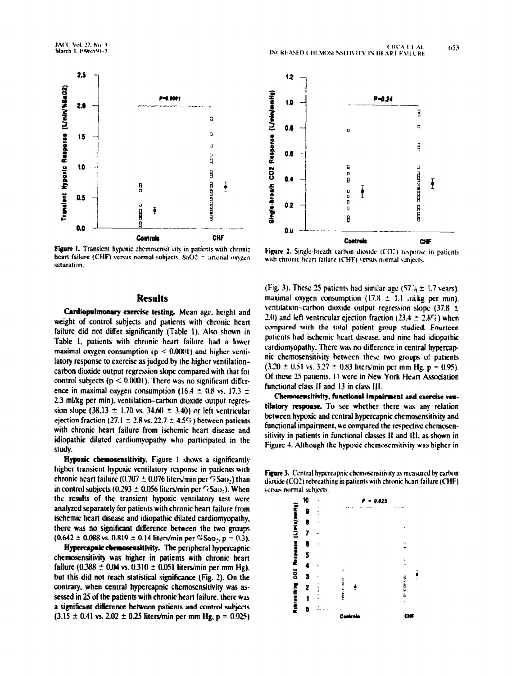

Figure 1. Transient hypoxic chemosensitivity in patients with chronic heart failure (CHF) versus normal subjects.  $SaO2 =$  arterial oxygen saturation.

## **Results**

Cardiopulmonary exercise testing. Mean age, height and weight of control subjects and patients with chronic heart failure did not differ significantly (Table 1). Also shown in Table 1, patients with chronic heart failure had a lower maximal oxygen consumption  $(p < 0.0001)$  and higher ventilatory response to exercise as judged by the higher ventilationcarbon dioxide output regression slope compared with that for control subjects ( $p < 0.0001$ ). There was no significant difference in maximal oxygen consumption (16.4  $\pm$  0.8 vs. 17.3  $\pm$ 2.3 ml/kg per min), ventilation–carbon dioxide output regression slope (38.13  $\pm$  1.70 vs. 34.60  $\pm$  3.40) or left ventricular ejection fraction (27.1  $\pm$  2.8 vs. 22.7  $\pm$  4.5%) between patients with chronic heart failure from ischemic heart disease and idiopathic dilated cardiomyopathy who participated in the study.

Hypoxic chemosensitivity. Figure 1 shows a significantly higher transient hypoxic ventilatory response in patients with chronic heart failure (0.707  $\pm$  0.076 liters/min per  $\%$ Sao.) than in control subjects (0.293  $\pm$  0.056 liters/min per  $\frac{7}{6}$ Sao-). When the results of the transient hypoxic ventilatory test were analyzed separately for patients with chronic heart failure from ischemic heart disease and idiopathic dilated cardiomyopathy, there was no significant difference between the two groups  $(0.642 \pm 0.088 \text{ vs. } 0.819 \pm 0.14 \text{ liters/min per } \%$ Sao., p = 0.3).

Hypercapnic chemosensitivity. The peripheral hypercapnic chemosensitivity was higher in patients with chronic heart failure (0.388  $\pm$  0.04 vs. 0.310  $\pm$  0.051 liters/min per mm Hg), but this did not reach statistical significance (Fig. 2). On the contrary, when central hypercapnic chemosensitivity was assessed in 25 of the patients with chronic heart failure, there was a significant difference between patients and control subjects  $(3.15 \pm 0.41 \text{ vs. } 2.02 \pm 0.25 \text{ liters/min per mm Hz, p} = 0.025)$ 



Figure 2. Single-breath carbon dioxide (CO2) response in patients with chronic heart failure (CHF) versus normal subjects.

(Fig. 3). These 25 patients had similar age (57.4  $\pm$  1.7 vears). maximal oxygen consumption (17.8  $\pm$  1.1 mi/kg per min). ventilation-carbon dioxide output regression slope  $(37.8 \pm$ 2.0) and left ventricular ejection fraction (23.4  $\pm$  2.8%) when compared with the total patient group studied. Fourteen patients had ischemic heart disease, and nine had idiopathic cardiomyopathy. There was no difference in central hypercapnic chemosensitivity between these two groups of patients  $(3.20 \pm 0.51 \text{ vs. } 3.27 \pm 0.83 \text{ liters/min per mm Hg. p} = 0.95).$ Of these 25 patients. 11 were in New York Heart Association functional class II and 13 in class III.

Chemosensitivity, functional impairment and exercise ventilatory response. To see whether there was any relation between hypoxic and central hypercapnic chemosensitivity and functional impairment, we compared the respective chemosensitivity in patients in functional classes II and III, as shown in Figure 4. Although the hypoxic chemosensitivity was higher in

Figure 3. Central hypercapnic chemosensitivity as measured by carbon dioxide (CO2) rebreathing in patients with chronic heart failure (CHF) versus normal subjects

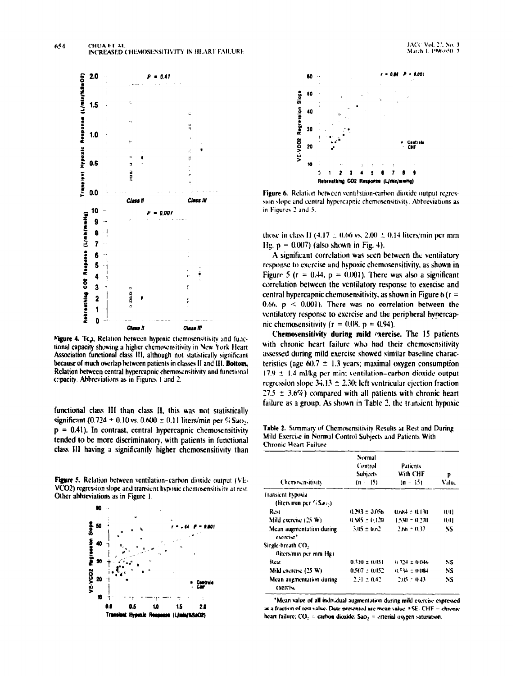

Figure 4. Tc.), Relation between hypoxic chemosensitivity and functional capacity showing a higher chemosensitivity in New York Heart Association functional class III, although not statistically significant because of much overlap between patients in classes II and III. Bottom, Relation between central hypercapnic chemosensitivity and functional cepacity. Abbreviations as in Figures 1 and 2.

functional class III than class II, this was not statistically significant (0.724 ± 0.10 vs. 0.600 ± 0.11 liters/min per % Sao<sub>2</sub>.  $p = 0.41$ ). In contrast, central hypercapnic chemosensitivity tended to be more discriminatory, with patients in functional class III having a significantly higher chemosensitivity than

Figure 5. Relation between ventilation-carbon dioxide output (VE-VCO2) regression slope and transient hypoxic chemosensitivity at rest. Other abbreviations as in Figure 1





Figure 6. Relation between ventilation-carbon dioxide output regression slope and central hypercapnic chemosensitivity. Abbreviations as in Figures 2 and 5.

those in class II (4.17  $\pm$  0.66 vs. 2.00  $\pm$  0.14 liters/min per mm Hg,  $p = 0.007$ ) (also shown in Fig. 4).

A significant correlation was seen between the ventilatory response to exercise and hypoxic chemosensitivity, as shown in Figure 5 ( $r = 0.44$ ,  $p = 0.001$ ). There was also a significant correlation between the ventilatory response to exercise and central hypercapnic chemosensitivity, as shown in Figure 6 ( $r =$ 0.66,  $p \le 0.001$ ). There was no correlation between the ventilatory response to exercise and the peripheral hypercapnic chemosensitivity ( $r = 0.08$ ,  $p = 0.94$ ).

Chemosensitivity during mild exercise. The 15 patients with chronic heart failure who had their chemosensitivity assessed during mild exercise showed similar baseline characteristics (age 60.7  $\pm$  1.3 years; maximal oxygen consumption  $17.9 \pm 1.4$  ml/kg per min; ventilation-carbon dioxide output regression slope 34.13  $\pm$  2.30; left ventricular ejection fraction  $27.5 \pm 3.6\%$ ) compared with all patients with chronic heart failure as a group. As shown in Table 2, the transient hypoxic

Table 2. Summary of Chemosensitivity Results at Rest and During Mild Exercise in Normal Control Subjects and Patients With **Chronic Heart Failure** 

| Chemoscusitists                        | Normal<br>Control<br><b>Subjects</b><br>$(n - 15)$ | <b>Patients</b><br>With CHF<br>$(n - 15)$ | P<br>Value |
|----------------------------------------|----------------------------------------------------|-------------------------------------------|------------|
| Fransient hypoxia                      |                                                    |                                           |            |
| (liters min per $7/5a(1)$ )            |                                                    |                                           |            |
| Rest                                   | $0.293 \pm 0.056$                                  | $0.684 + 0.130$                           | 0.01       |
| Mild exercise (25 W)                   | $0.685 \pm 0.120$                                  | 1.530 = 0.270                             | 0.01       |
| Mean augmentation during<br>evercise*  | $3.05 \pm 0.02$                                    | $2.66 \pm 0.37$                           | NS         |
| Single-breath CO.                      |                                                    |                                           |            |
| fliters/min per mm Hg)                 |                                                    |                                           |            |
| Rest                                   | $0.310 \pm 0.051$                                  | $0.324 \pm 0.046$                         | NS         |
| Mild exercise (25 W)                   | $0.507 \pm 0.052$                                  | <b>0.5% ± 0.0%</b>                        | NS         |
| Mean augmentation during<br>exercise." | $2.31 \pm 0.42$                                    | $2.05 \pm 0.43$                           | NS         |

'Mean value of all individual augmentation during mikl exercise expressed as a fraction of rest value. Date presented are mean value ±SE. CHF = chronic heart failure;  $CO_2$  = carbon dioxide; Sao<sub>2</sub> = crierial oxygen saturation.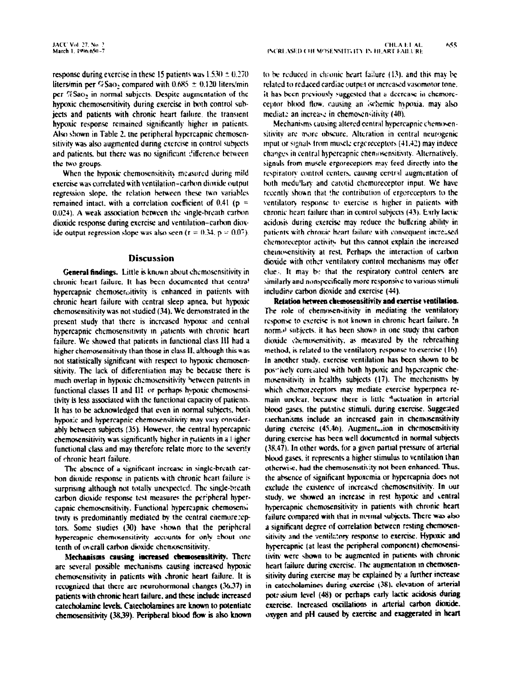response during exercise in these 15 patients was  $1.530 \pm 0.270$ liters/min per  $%$ Sao<sub>2</sub> compared with 0.685  $\pm$  0.120 liters/min per  $%$ Sa $o<sub>2</sub>$  in normal subjects. Despite augmentation of the hypoxic chemosensitivity during exercise in both control subjects and patients with chronic heart failure, the transient hypoxic response remained significantly higher in patients. Also shown in Table 2. the peripheral hypcrcapnic chemoscnsitivity was also augmented during cxcrcise in control subjects and patients, but there was no significant difference between the two groups.

When the hypoxic chemosensitivity measured during mild exercise was correlated with ventilation-carbon dioxide output regression slope, the relation between these two variables remained intact, with a correlation coefficient of  $0.41$  (p = 0.024). A weak association between the single-breath carbon dioxide response during exercise and ventilation-carbon dioxide output regression slope was also seen ( $r = 0.34$ ,  $p = 0.07$ ).

## **Discussion**

General findings. Little is known about chcmosensitivity in chronic heart failure. It has been documented that centra! hypercapnic chemoser,sitivity is enhanced in patients with chronic heart failure with central sleep apnea. but hypoxic chcmosensitivity was not studied (34). We demonstrated in the present study that there is increased hypoxic and central hypercapnic chemosensitivitv in patients with chronic heart failure. We showed that patients in functional class 111 had a higher chemosensitivity than those in class II, although this was not statistically significant with respect to hypoxic chcmoscnsitivity. The lack of differentiation may be because there is much overlap in hypoxic chemosensitivity between patients in functional classes II and III or perhaps hypoxic chemosensitivity is less associated with the functional capacity of patients. It has to be acknowledged that even in normal subjects. both hypoxlc and hypercapnic chemosensitivity may va:y considerably between subjects (35). However, the central hypercapnic chemosensitivity was significantly higher in patients in a  $1$  igher functional class and may therefore relate more to the severity of chronic heart failure.

The absence of a significant increase in single-breath carbon dioxide response in patients with chronic heart failure is surprising although not totally unexpected. The single-breath carbon dioxide response test measures the peripheral hypercapnic chemosensitivity. Functional hypercapnic chemosens; tivity is predominantly mediated by the central citemorezeptors. Some studies (30) have shown that the peripheral hypercapnic chemosensitivity accounts for only about one tenth of overall carbon dioxide chemosensitivity.

Mechanisms causing increased chemosensitivity. There arc several possible mechanisms causing increased hypoxic chemosensitivity in patients with chronic heart failure. It is recognized that there are neurohormonal changes (36,37) in patients with chronic heart failure. and these include increased catecholamine Icvek. Catecholamines are known lo potentiale chemosensitivity (38,39). Peripheral blood flow is also known lo hc rcduccd in chronic hrart failure (13). and this may be related to reduced cardiac output or increased vasomotor tone. it has been previously suggested that a decrease in chemoreceptor blood flow, causing an ischemic hypoxia, may also mediate an increase in chemosensitivity (40).

Mechanisms causing altered central hypercapnic chemosensitivity are more obscure. Alteration in central neurogenic input or signals from muscle ergcreceptors (41.42) may induce changes in central hypercapnic chenlosensitivity. Alternatively, signals from muscle ergoreceptors may feed directly into the respiratory control centers, causing central augmentation of both medu'tary and carotid chemoreceptor input. We have recently shoun that !he contribution of ergorcceptors to the ventilatory response to exercise is higher in patients with chronic heart failure than in control subjects (43). Early lactic acidosis during exercise may reduce the buffering ability in patients with chrouic heart failure with consequent increased chemoreceptor activity but this cannot explain the increased chemocensitivity at rest. Perhaps the interaction of carbon dioxide with other ventilatory control mechanisms may offer clue.. It may b: that the respiratory control centers are similarly and nonspecifically more responsive to various stimuli including carbon dioxide and exercise (44).

Relation between chemosensitivity and exercise ventilation. The role of chemosensitivity in mediating the ventilatory response to exercise is not known in chronic heart failure. In normol subjects, it has been shown in one study that carbon dioxide chemosensitivity, as measured by the rebreathing method, is related to the ventilatory response to exercise (16). In another study. exercise ventilation has been shown to be pos\*ively correlated with both hypoxic and hypercapnic chemosensitivity in healthy subjects (17). The mechanisms by which chemorzceptors may mediate exercise hyperpnea remain unclear, because there is little <sup>q</sup>uctuation in arterial blood gases, the putative stimuli, during exercise. Suggested mechanisms include an increased gain in chemosensitivity during cxercise (45.46). Augment,.ion in chemosensitivity during exercise has been well documented in normal subjects (38.47). In other words, for a given partial pressure of arterial blood gases, it represents a higher stimulus to ventilation than otherwise, had the chemosensrtivity not ken enhanced. Thus. the absence of significant hypoxemia or hypercapnia does not exclude the existence of increased chemosensitivity. In our study, we showed an increase in rest hypoxic and cenlral hypercapnic chemosensitivity in patients with chronic heart failure compared with that in normal subjects. There was also a significant degree of correlation between resting chemosensitivity and the ventilatory response to exercise. Hypoxic and hypercapnic (at least the peripheral component) chemosensitivity were shown to be augmented in patients with chronic heart failure during exercise. The augmentation in chemosensitivity during exercise may be explained by a further increase in catecholamines during exercise (38), elevation of arterial potessium level (48) or perhaps early lactic acidosis during exercise. Increased oscillations in arterial carbon dioxide. oxygen and pH caused by exercise and exaggerated in heart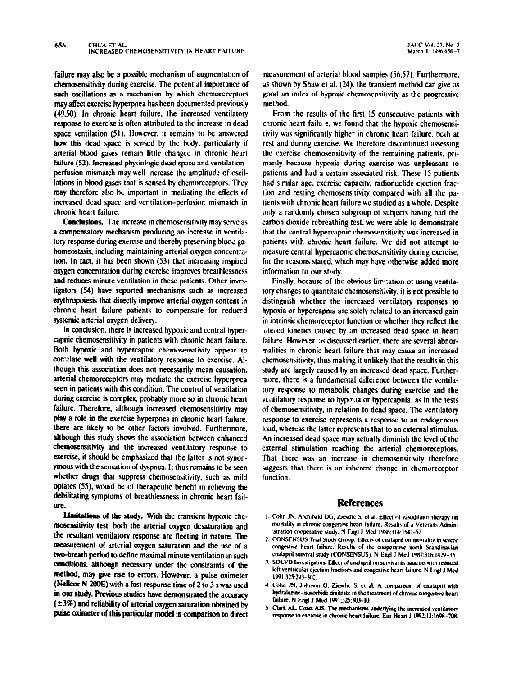may affect exercise hyperpnea has been documented previously method. (4950). In chronic heart failure, the increased ventilatory response to exercise is often attributed to the increase in dead space ventilation (51). However, it remains to be answered how this dead space is sensed by the body, particularly if arterial blood gases remam little changed in chronic heart failure (52). Increased physiologic dead space and ventilationperfusion mismatch may well increase the amplitude of oscillations in blood gases that is sensed by chemoreceptors. They may therefore also be important in mediating the effects of increased dead space and ventilation-perfusior, mismatch in chronic heart failure.

Conclusions. The increase in chemosensitivity may serve as a compensatory mechanism producing an increase in ventilatory response during exercise and thereby preserving blood gas homeostasis, including maintaining arterial oxygen concentration. In fact. it has been shown (53) that increasing inspired oxygen concentration during exercise improves breathlessness and reduces minute ventilation in these patients. Other investigators (54) have reported mechanisms such as increased erythropoiesis that directly improve arterial oxygen content in chronic heart failure patients to compensate for reducrd systemic arterial oxygen delivery.

In conclusion. there is increased hypoxic and central hypercapnic chemosensitivity in patients with chronic heart failure. Both hypoxic and hypercapnic chemosensitivity appear to correlate well with the ventilatory response to exercise. Although this association does not necessarily mean causation, arterial chemoreceptors may mediate the exercise hyperppea seen in patients with this condition. The control of ventilation during exercise is complex, probably more so in chronic heart failure. Therefore, although increased chemosensitivity may play a role in the exercise hyperpnea in chronic heart failure, there are likely to be other factors involved. Furthermore, although this study shows the association between enhanced chemosensitivity and the increased ventilatory response to exercise, it should be emphasized that the latter is not synonymous with the sensation of dyspnea. It thus remains to be seen whether drugs that suppress chemosensitivity, such as mild opiates (55). would be of therapeutic benefit in retieving the debilitating symptoms of breathlessness in chronic heart failure.

Limitations of the study. With the transient hypoxic chemosensitivity test, both the arterial oxygen desaturation and the resultant ventilatory response are fleeting in nature. The measurement of arterial oxygen saturation and the use of a two-breath period to define maximal minute ventilation in such conditions, although necessary under the constraints of the method. may give rise to errors. However. a pulse oximeter (Nellcor N-200E) with a fast response time of 2 to 3 s was used in our study. Previous studies have demonstrated the accuracy  $(\pm 3\%)$  and reliability of arterial oxygen saturation obtained by pulse oximeter of this particular model in comparison to direct

failure may also be a possible mechanism of augmentation of measurement of arterial blood samples (56.57). Furthermore, chernosensitivity during exercise. The potential importance of as shown by Shaw et al. (24), the transient method can give as such oscillations as a mechanism by which chernoreceptors good an index of hypoxic chernosensit good an index of hypoxic chemosensitivity as the progressive

> From the results of the first 15 consecutive patients with chronic heart failu e. we found that the hypoxic chemosensitivity was significantly higher in chronic heart failure, both at rest and during exercise. We therefore discontinued assessing the exercise chemosensitivity of the remaining patients. primarily kcause hypoxia during exercise was unpleasant to patients and had a certain associated risk. These 15 patients had similar age. exercise capacity, tadionuclide ejection fraction and resting chcmosensitivity compared with all the patients with chronic heart failure we studied as a whole. Despite only a randomly chosen subgroup of subjects having had the carbon dioxide rebreathing test. we were able to demonstrate that the central hypercapnic chemoscnnsitivity was increased in patients with chronic heart failure. We did not attempt to measure central hypercapnic chemosensitivity during exercise, for the reasons stated, which may have otherwise added more information to our study.

> Finally, because of the obvious limitation of using ventilatory changes to quantitate chemosensitivity, it is not possible to distinguish whether the increased ventilatory responses to hypoxia or hypercapma are solely related to an increased gain in intrinsic chemoreccptor tunction or whether they reflect the sitered kinetics caused by an increased dead space in heart failure. However, as discussed earlier, there are several abnormalities in chronic heart failure that may cause an increased chemosensitivity. thus making it unlikely that the results in this study arc largely caused by an increased dead spuce. Furthermore, there is a fundamental difference between the ventilatory response to metabolic changes during exercise and the vc.itilatory response to hypoxia or hypercapnia, as in the tests of chemosensitivity, in relation to dead space. The ventilatory response to exercise represents a response to an endogenous load, whereas the latter represents that to an external stimulus. An increased dead space may actually diminish the level of the external stimulation reaching the arterial chemoreceptors. That there was an increase in chemosensitivity thcrcfore suggests that there is an inherent change in chemoreceptor function.

### References

- 1. Cohn JN. Archibald DG, Ziesche S, et al. Effect of vasodilator therapy on mortality in chronic congestive heart failure. Results of a Veterans Administration cooperative study. N Engl J Med 1986;314:1547-52.
- 2. CONSENSUS Trial Study Group. Effects of enalapnl on mortality in severe congestive heart failure. Results of the cooperative north Scandinavian cnalapril survival study (CONSENSUS). N Engl J Med 1987;316:1429-35.
- 3. SOLVD Investigators. Effect of enalapril on survival in patients with reduced kft ventricular cicction tractions and congestive heart failure. N Engl J Med 1991:325:293-302.
- 4. Cohn JN, Johnson G. Ziesche S. et al. A comparison of cnalapril with hydralazine-isosorbide dinitrate in the treatment of chronic congestive heart failure. N Engl J Med 1991;325:303-10.
- 5. Clark AL, Coats AJS. The mechanisms underlying the increased ventilatory response to exercise in chronic heart failure. Eur Heart J 1992:13:1698-708.